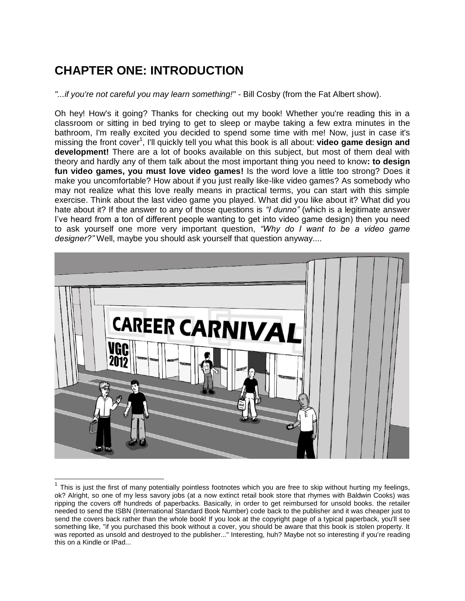## **CHAPTER ONE: INTRODUCTION**

*"...if you're not careful you may learn something!"* - Bill Cosby (from the Fat Albert show).

Oh hey! How's it going? Thanks for checking out my book! Whether you're reading this in a classroom or sitting in bed trying to get to sleep or maybe taking a few extra minutes in the bathroom, I'm really excited you decided to spend some time with me! Now, just in case it's missing the front cover<sup>1</sup>, I'll quickly tell you what this book is all about: video game design and **development!** There are a lot of books available on this subject, but most of them deal with theory and hardly any of them talk about the most important thing you need to know**: to design fun video games, you must love video games!** Is the word love a little too strong? Does it make you uncomfortable? How about if you just really like-like video games? As somebody who may not realize what this love really means in practical terms, you can start with this simple exercise. Think about the last video game you played. What did you like about it? What did you hate about it? If the answer to any of those questions is *"I dunno"* (which is a legitimate answer I've heard from a ton of different people wanting to get into video game design) then you need to ask yourself one more very important question, *"Why do I want to be a video game designer?"* Well, maybe you should ask yourself that question anyway....



 $1$  This is just the first of many potentially pointless footnotes which you are free to skip without hurting my feelings, ok? Alright, so one of my less savory jobs (at a now extinct retail book store that rhymes with Baldwin Cooks) was ripping the covers off hundreds of paperbacks. Basically, in order to get reimbursed for unsold books. the retailer needed to send the ISBN (International Standard Book Number) code back to the publisher and it was cheaper just to send the covers back rather than the whole book! If you look at the copyright page of a typical paperback, you'll see something like, "if you purchased this book without a cover, you should be aware that this book is stolen property. It was reported as unsold and destroyed to the publisher..." Interesting, huh? Maybe not so interesting if you're reading this on a Kindle or IPad...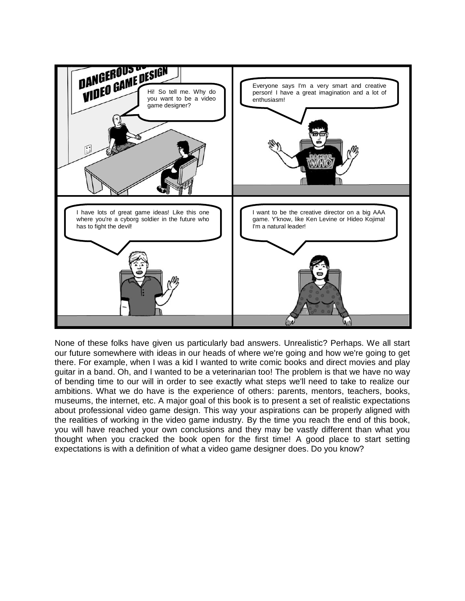

None of these folks have given us particularly bad answers. Unrealistic? Perhaps. We all start our future somewhere with ideas in our heads of where we're going and how we're going to get there. For example, when I was a kid I wanted to write comic books and direct movies and play guitar in a band. Oh, and I wanted to be a veterinarian too! The problem is that we have no way of bending time to our will in order to see exactly what steps we'll need to take to realize our ambitions. What we do have is the experience of others: parents, mentors, teachers, books, museums, the internet, etc. A major goal of this book is to present a set of realistic expectations about professional video game design. This way your aspirations can be properly aligned with the realities of working in the video game industry. By the time you reach the end of this book, you will have reached your own conclusions and they may be vastly different than what you thought when you cracked the book open for the first time! A good place to start setting expectations is with a definition of what a video game designer does. Do you know?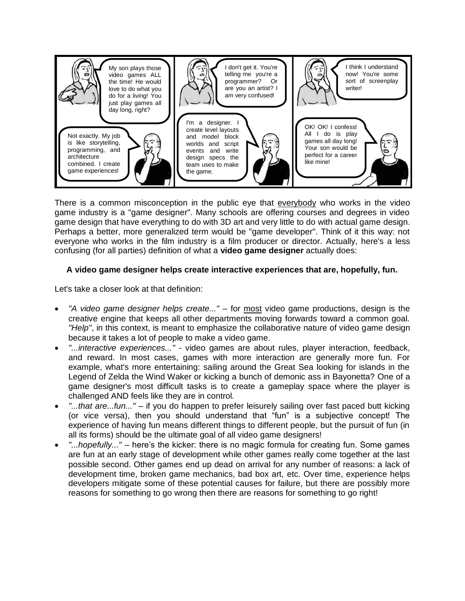

There is a common misconception in the public eye that everybody who works in the video game industry is a "game designer". Many schools are offering courses and degrees in video game design that have everything to do with 3D art and very little to do with actual game design. Perhaps a better, more generalized term would be "game developer". Think of it this way: not everyone who works in the film industry is a film producer or director. Actually, here's a less confusing (for all parties) definition of what a **video game designer** actually does:

## **A video game designer helps create interactive experiences that are, hopefully, fun.**

Let's take a closer look at that definition:

- *"A video game designer helps create..."* for most video game productions, design is the creative engine that keeps all other departments moving forwards toward a common goal. *"Help"*, in this context, is meant to emphasize the collaborative nature of video game design because it takes a lot of people to make a video game.
- *"...interactive experiences..."* video games are about rules, player interaction, feedback, and reward. In most cases, games with more interaction are generally more fun. For example, what's more entertaining: sailing around the Great Sea looking for islands in the Legend of Zelda the Wind Waker or kicking a bunch of demonic ass in Bayonetta? One of a game designer's most difficult tasks is to create a gameplay space where the player is challenged AND feels like they are in control.
- *"...that are...fun..."* if you do happen to prefer leisurely sailing over fast paced butt kicking (or vice versa), then you should understand that "fun" is a subjective concept! The experience of having fun means different things to different people, but the pursuit of fun (in all its forms) should be the ultimate goal of all video game designers!
- *"...hopefully..."* here's the kicker: there is no magic formula for creating fun. Some games are fun at an early stage of development while other games really come together at the last possible second. Other games end up dead on arrival for any number of reasons: a lack of development time, broken game mechanics, bad box art, etc. Over time, experience helps developers mitigate some of these potential causes for failure, but there are possibly more reasons for something to go wrong then there are reasons for something to go right!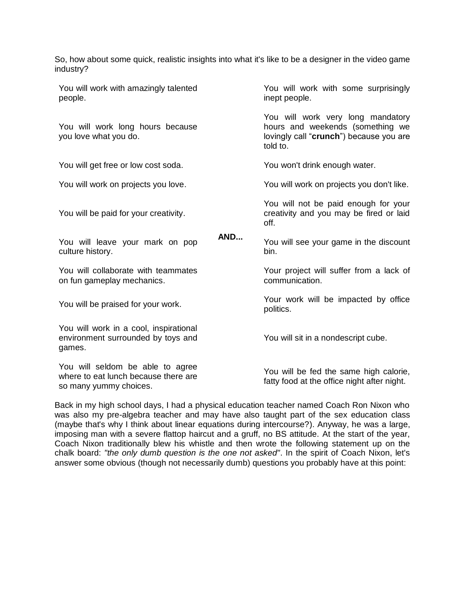So, how about some quick, realistic insights into what it's like to be a designer in the video game industry?

You will work with amazingly talented people. **AND...** You will work with some surprisingly inept people. You will work long hours because you love what you do. You will work very long mandatory hours and weekends (something we lovingly call "**crunch**") because you are told to. You will get free or low cost soda. You won't drink enough water. You will work on projects you love. You will work on projects you don't like. You will be paid for your creativity. You will not be paid enough for your creativity and you may be fired or laid off. You will leave your mark on pop culture history. You will see your game in the discount bin. You will collaborate with teammates on fun gameplay mechanics. Your project will suffer from a lack of communication. You will be praised for your work. Your work will be impacted by office politics. You will work in a cool, inspirational environment surrounded by toys and games. You will sit in a nondescript cube. You will seldom be able to agree where to eat lunch because there are so many yummy choices. You will be fed the same high calorie, fatty food at the office night after night.

Back in my high school days, I had a physical education teacher named Coach Ron Nixon who was also my pre-algebra teacher and may have also taught part of the sex education class (maybe that's why I think about linear equations during intercourse?). Anyway, he was a large, imposing man with a severe flattop haircut and a gruff, no BS attitude. At the start of the year, Coach Nixon traditionally blew his whistle and then wrote the following statement up on the chalk board: *"the only dumb question is the one not asked"*. In the spirit of Coach Nixon, let's answer some obvious (though not necessarily dumb) questions you probably have at this point: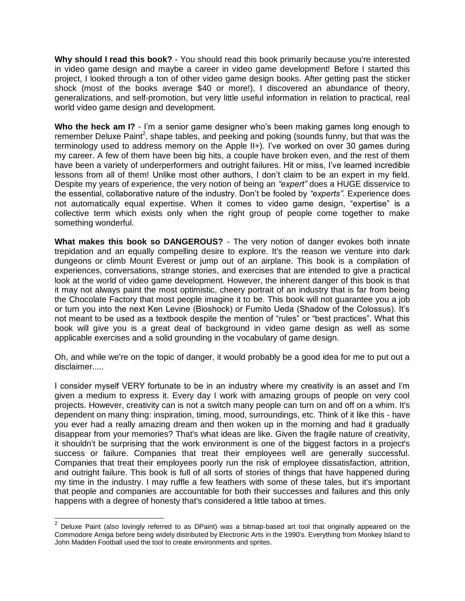**Why should I read this book?** - You should read this book primarily because you're interested in video game design and maybe a career in video game development! Before I started this project, I looked through a ton of other video game design books. After getting past the sticker shock (most of the books average \$40 or more!), I discovered an abundance of theory, generalizations, and self-promotion, but very little useful information in relation to practical, real world video game design and development.

**Who the heck am I?** - I'm a senior game designer who's been making games long enough to remember Deluxe Paint<sup>2</sup>, shape tables, and peeking and poking (sounds funny, but that was the terminology used to address memory on the Apple II+). I've worked on over 30 games during my career. A few of them have been big hits, a couple have broken even, and the rest of them have been a variety of underperformers and outright failures. Hit or miss, I've learned incredible lessons from all of them! Unlike most other authors, I don't claim to be an expert in my field. Despite my years of experience, the very notion of being an *"expert"* does a HUGE disservice to the essential, collaborative nature of the industry. Don't be fooled by *"experts".* Experience does not automatically equal expertise. When it comes to video game design, "expertise" is a collective term which exists only when the right group of people come together to make something wonderful.

**What makes this book so DANGEROUS?** - The very notion of danger evokes both innate trepidation and an equally compelling desire to explore. It's the reason we venture into dark dungeons or climb Mount Everest or jump out of an airplane. This book is a compilation of experiences, conversations, strange stories, and exercises that are intended to give a practical look at the world of video game development. However, the inherent danger of this book is that it may not always paint the most optimistic, cheery portrait of an industry that is far from being the Chocolate Factory that most people imagine it to be. This book will not guarantee you a job or turn you into the next Ken Levine (Bioshock) or Fumito Ueda (Shadow of the Colossus). It's not meant to be used as a textbook despite the mention of "rules" or "best practices". What this book will give you is a great deal of background in video game design as well as some applicable exercises and a solid grounding in the vocabulary of game design.

Oh, and while we're on the topic of danger, it would probably be a good idea for me to put out a disclaimer.....

I consider myself VERY fortunate to be in an industry where my creativity is an asset and I'm given a medium to express it. Every day I work with amazing groups of people on very cool projects. However, creativity can is not a switch many people can turn on and off on a whim. It's dependent on many thing: inspiration, timing, mood, surroundings, etc. Think of it like this - have you ever had a really amazing dream and then woken up in the morning and had it gradually disappear from your memories? That's what ideas are like. Given the fragile nature of creativity, it shouldn't be surprising that the work environment is one of the biggest factors in a project's success or failure. Companies that treat their employees well are generally successful. Companies that treat their employees poorly run the risk of employee dissatisfaction, attrition, and outright failure. This book is full of all sorts of stories of things that have happened during my time in the industry. I may ruffle a few feathers with some of these tales, but it's important that people and companies are accountable for both their successes and failures and this only happens with a degree of honesty that's considered a little taboo at times.

**<sup>2</sup>**<br><sup>2</sup> Deluxe Paint (also lovingly referred to as DPaint) was a bitmap-based art tool that originally appeared on the Commodore Amiga before being widely distributed by Electronic Arts in the 1990's. Everything from Monkey Island to John Madden Football used the tool to create environments and sprites.